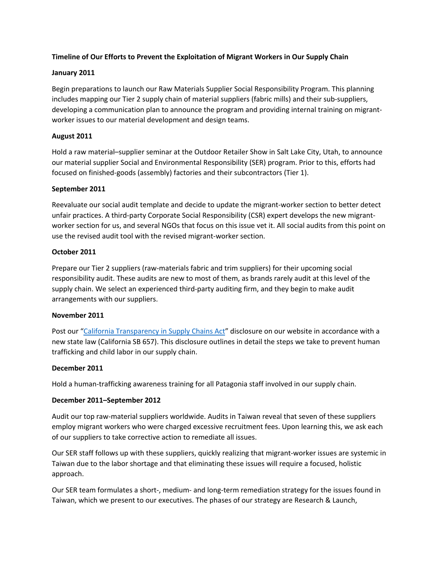# **Timeline of Our Efforts to Prevent the Exploitation of Migrant Workers in Our Supply Chain**

## **January 2011**

Begin preparations to launch our Raw Materials Supplier Social Responsibility Program. This planning includes mapping our Tier 2 supply chain of material suppliers (fabric mills) and their sub-suppliers, developing a communication plan to announce the program and providing internal training on migrantworker issues to our material development and design teams.

## **August 2011**

Hold a raw material–supplier seminar at the Outdoor Retailer Show in Salt Lake City, Utah, to announce our material supplier Social and Environmental Responsibility (SER) program. Prior to this, efforts had focused on finished-goods (assembly) factories and their subcontractors (Tier 1).

## **September 2011**

Reevaluate our social audit template and decide to update the migrant-worker section to better detect unfair practices. A third-party Corporate Social Responsibility (CSR) expert develops the new migrantworker section for us, and several NGOs that focus on this issue vet it. All social audits from this point on use the revised audit tool with the revised migrant-worker section.

## **October 2011**

Prepare our Tier 2 suppliers (raw-materials fabric and trim suppliers) for their upcoming social responsibility audit. These audits are new to most of them, as brands rarely audit at this level of the supply chain. We select an experienced third-party auditing firm, and they begin to make audit arrangements with our suppliers.

#### **November 2011**

Post our "California Transparency in Supply Chains Act" disclosure on our website in accordance with a new state law (California SB 657). This disclosure outlines in detail the steps we take to prevent human trafficking and child labor in our supply chain.

#### **December 2011**

Hold a human-trafficking awareness training for all Patagonia staff involved in our supply chain.

## **December 2011–September 2012**

Audit our top raw-material suppliers worldwide. Audits in Taiwan reveal that seven of these suppliers employ migrant workers who were charged excessive recruitment fees. Upon learning this, we ask each of our suppliers to take corrective action to remediate all issues.

Our SER staff follows up with these suppliers, quickly realizing that migrant-worker issues are systemic in Taiwan due to the labor shortage and that eliminating these issues will require a focused, holistic approach.

Our SER team formulates a short-, medium- and long-term remediation strategy for the issues found in Taiwan, which we present to our executives. The phases of our strategy are Research & Launch,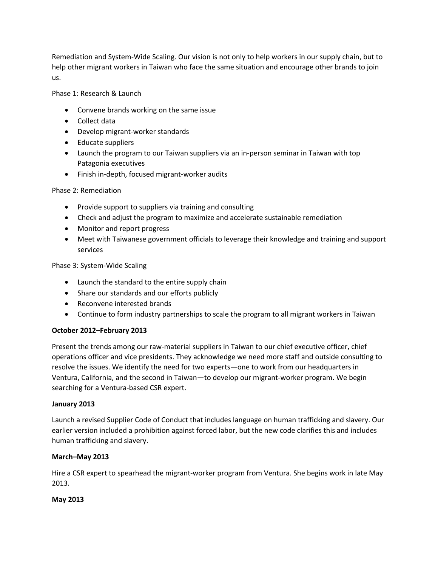Remediation and System-Wide Scaling. Our vision is not only to help workers in our supply chain, but to help other migrant workers in Taiwan who face the same situation and encourage other brands to join us.

Phase 1: Research & Launch

- Convene brands working on the same issue
- Collect data
- Develop migrant-worker standards
- Educate suppliers
- Launch the program to our Taiwan suppliers via an in-person seminar in Taiwan with top Patagonia executives
- Finish in-depth, focused migrant-worker audits

# Phase 2: Remediation

- Provide support to suppliers via training and consulting
- Check and adjust the program to maximize and accelerate sustainable remediation
- Monitor and report progress
- Meet with Taiwanese government officials to leverage their knowledge and training and support services

Phase 3: System-Wide Scaling

- Launch the standard to the entire supply chain
- Share our standards and our efforts publicly
- Reconvene interested brands
- Continue to form industry partnerships to scale the program to all migrant workers in Taiwan

## **October 2012–February 2013**

Present the trends among our raw-material suppliers in Taiwan to our chief executive officer, chief operations officer and vice presidents. They acknowledge we need more staff and outside consulting to resolve the issues. We identify the need for two experts—one to work from our headquarters in Ventura, California, and the second in Taiwan—to develop our migrant-worker program. We begin searching for a Ventura-based CSR expert.

## **January 2013**

Launch a revised Supplier Code of Conduct that includes language on human trafficking and slavery. Our earlier version included a prohibition against forced labor, but the new code clarifies this and includes human trafficking and slavery.

## **March–May 2013**

Hire a CSR expert to spearhead the migrant-worker program from Ventura. She begins work in late May 2013.

## **May 2013**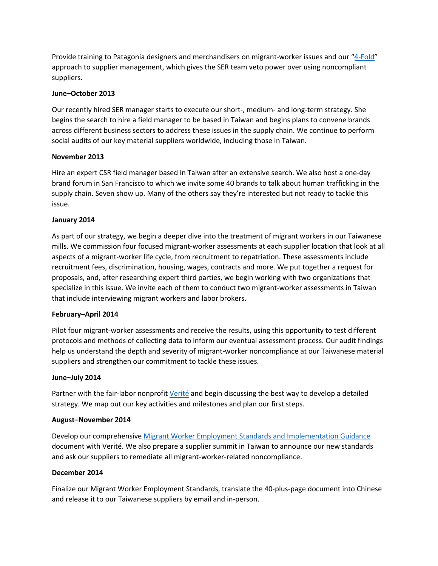Provide training to Patagonia designers and merchandisers on migrant-worker issues and our "4-Fold" approach to supplier management, which gives the SER team veto power over using noncompliant suppliers.

#### **June–October 2013**

Our recently hired SER manager starts to execute our short-, medium- and long-term strategy. She begins the search to hire a field manager to be based in Taiwan and begins plans to convene brands across different business sectors to address these issues in the supply chain. We continue to perform social audits of our key material suppliers worldwide, including those in Taiwan.

#### **November 2013**

Hire an expert CSR field manager based in Taiwan after an extensive search. We also host a one-day brand forum in San Francisco to which we invite some 40 brands to talk about human trafficking in the supply chain. Seven show up. Many of the others say they're interested but not ready to tackle this issue.

## **January 2014**

As part of our strategy, we begin a deeper dive into the treatment of migrant workers in our Taiwanese mills. We commission four focused migrant-worker assessments at each supplier location that look at all aspects of a migrant-worker life cycle, from recruitment to repatriation. These assessments include recruitment fees, discrimination, housing, wages, contracts and more. We put together a request for proposals, and, after researching expert third parties, we begin working with two organizations that specialize in this issue. We invite each of them to conduct two migrant-worker assessments in Taiwan that include interviewing migrant workers and labor brokers.

## **February–April 2014**

Pilot four migrant-worker assessments and receive the results, using this opportunity to test different protocols and methods of collecting data to inform our eventual assessment process. Our audit findings help us understand the depth and severity of migrant-worker noncompliance at our Taiwanese material suppliers and strengthen our commitment to tackle these issues.

## **June–July 2014**

Partner with the fair-labor nonprofit Verité and begin discussing the best way to develop a detailed strategy. We map out our key activities and milestones and plan our first steps.

#### **August–November 2014**

Develop our comprehensive Migrant Worker Employment Standards and Implementation Guidance document with Verité. We also prepare a supplier summit in Taiwan to announce our new standards and ask our suppliers to remediate all migrant-worker-related noncompliance.

#### **December 2014**

Finalize our Migrant Worker Employment Standards, translate the 40-plus-page document into Chinese and release it to our Taiwanese suppliers by email and in-person.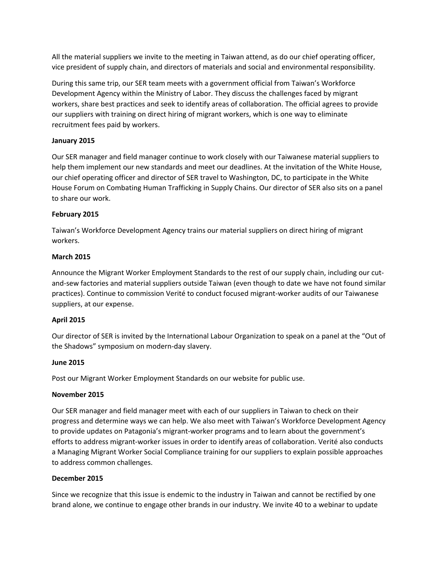All the material suppliers we invite to the meeting in Taiwan attend, as do our chief operating officer, vice president of supply chain, and directors of materials and social and environmental responsibility.

During this same trip, our SER team meets with a government official from Taiwan's Workforce Development Agency within the Ministry of Labor. They discuss the challenges faced by migrant workers, share best practices and seek to identify areas of collaboration. The official agrees to provide our suppliers with training on direct hiring of migrant workers, which is one way to eliminate recruitment fees paid by workers.

# **January 2015**

Our SER manager and field manager continue to work closely with our Taiwanese material suppliers to help them implement our new standards and meet our deadlines. At the invitation of the White House, our chief operating officer and director of SER travel to Washington, DC, to participate in the White House Forum on Combating Human Trafficking in Supply Chains. Our director of SER also sits on a panel to share our work.

# **February 2015**

Taiwan's Workforce Development Agency trains our material suppliers on direct hiring of migrant workers.

# **March 2015**

Announce the Migrant Worker Employment Standards to the rest of our supply chain, including our cutand-sew factories and material suppliers outside Taiwan (even though to date we have not found similar practices). Continue to commission Verité to conduct focused migrant-worker audits of our Taiwanese suppliers, at our expense.

## **April 2015**

Our director of SER is invited by the International Labour Organization to speak on a panel at the "Out of the Shadows" symposium on modern-day slavery.

## **June 2015**

Post our Migrant Worker Employment Standards on our website for public use.

## **November 2015**

Our SER manager and field manager meet with each of our suppliers in Taiwan to check on their progress and determine ways we can help. We also meet with Taiwan's Workforce Development Agency to provide updates on Patagonia's migrant-worker programs and to learn about the government's efforts to address migrant-worker issues in order to identify areas of collaboration. Verité also conducts a Managing Migrant Worker Social Compliance training for our suppliers to explain possible approaches to address common challenges.

## **December 2015**

Since we recognize that this issue is endemic to the industry in Taiwan and cannot be rectified by one brand alone, we continue to engage other brands in our industry. We invite 40 to a webinar to update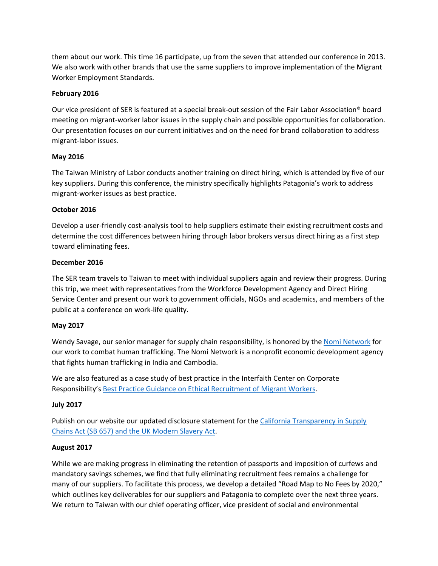them about our work. This time 16 participate, up from the seven that attended our conference in 2013. We also work with other brands that use the same suppliers to improve implementation of the Migrant Worker Employment Standards.

## **February 2016**

Our vice president of SER is featured at a special break-out session of the Fair Labor Association® board meeting on migrant-worker labor issues in the supply chain and possible opportunities for collaboration. Our presentation focuses on our current initiatives and on the need for brand collaboration to address migrant-labor issues.

## **May 2016**

The Taiwan Ministry of Labor conducts another training on direct hiring, which is attended by five of our key suppliers. During this conference, the ministry specifically highlights Patagonia's work to address migrant-worker issues as best practice.

# **October 2016**

Develop a user-friendly cost-analysis tool to help suppliers estimate their existing recruitment costs and determine the cost differences between hiring through labor brokers versus direct hiring as a first step toward eliminating fees.

## **December 2016**

The SER team travels to Taiwan to meet with individual suppliers again and review their progress. During this trip, we meet with representatives from the Workforce Development Agency and Direct Hiring Service Center and present our work to government officials, NGOs and academics, and members of the public at a conference on work-life quality.

## **May 2017**

Wendy Savage, our senior manager for supply chain responsibility, is honored by the Nomi Network for our work to combat human trafficking. The Nomi Network is a nonprofit economic development agency that fights human trafficking in India and Cambodia.

We are also featured as a case study of best practice in the Interfaith Center on Corporate Responsibility's Best Practice Guidance on Ethical Recruitment of Migrant Workers.

## **July 2017**

Publish on our website our updated disclosure statement for the California Transparency in Supply Chains Act (SB 657) and the UK Modern Slavery Act.

# **August 2017**

While we are making progress in eliminating the retention of passports and imposition of curfews and mandatory savings schemes, we find that fully eliminating recruitment fees remains a challenge for many of our suppliers. To facilitate this process, we develop a detailed "Road Map to No Fees by 2020," which outlines key deliverables for our suppliers and Patagonia to complete over the next three years. We return to Taiwan with our chief operating officer, vice president of social and environmental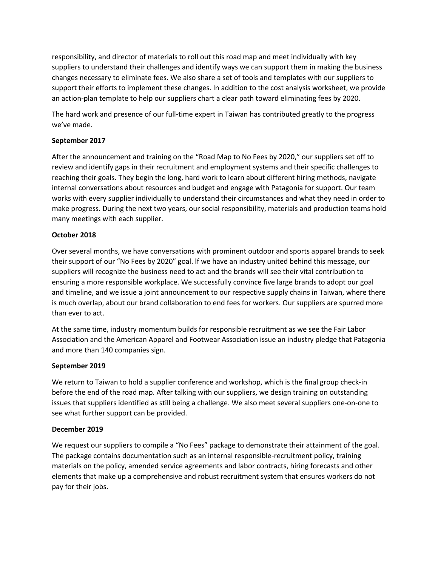responsibility, and director of materials to roll out this road map and meet individually with key suppliers to understand their challenges and identify ways we can support them in making the business changes necessary to eliminate fees. We also share a set of tools and templates with our suppliers to support their efforts to implement these changes. In addition to the cost analysis worksheet, we provide an action-plan template to help our suppliers chart a clear path toward eliminating fees by 2020.

The hard work and presence of our full-time expert in Taiwan has contributed greatly to the progress we've made.

# **September 2017**

After the announcement and training on the "Road Map to No Fees by 2020," our suppliers set off to review and identify gaps in their recruitment and employment systems and their specific challenges to reaching their goals. They begin the long, hard work to learn about different hiring methods, navigate internal conversations about resources and budget and engage with Patagonia for support. Our team works with every supplier individually to understand their circumstances and what they need in order to make progress. During the next two years, our social responsibility, materials and production teams hold many meetings with each supplier.

## **October 2018**

Over several months, we have conversations with prominent outdoor and sports apparel brands to seek their support of our "No Fees by 2020" goal. lf we have an industry united behind this message, our suppliers will recognize the business need to act and the brands will see their vital contribution to ensuring a more responsible workplace. We successfully convince five large brands to adopt our goal and timeline, and we issue a joint announcement to our respective supply chains in Taiwan, where there is much overlap, about our brand collaboration to end fees for workers. Our suppliers are spurred more than ever to act.

At the same time, industry momentum builds for responsible recruitment as we see the Fair Labor Association and the American Apparel and Footwear Association issue an industry pledge that Patagonia and more than 140 companies sign.

## **September 2019**

We return to Taiwan to hold a supplier conference and workshop, which is the final group check-in before the end of the road map. After talking with our suppliers, we design training on outstanding issues that suppliers identified as still being a challenge. We also meet several suppliers one-on-one to see what further support can be provided.

## **December 2019**

We request our suppliers to compile a "No Fees" package to demonstrate their attainment of the goal. The package contains documentation such as an internal responsible-recruitment policy, training materials on the policy, amended service agreements and labor contracts, hiring forecasts and other elements that make up a comprehensive and robust recruitment system that ensures workers do not pay for their jobs.